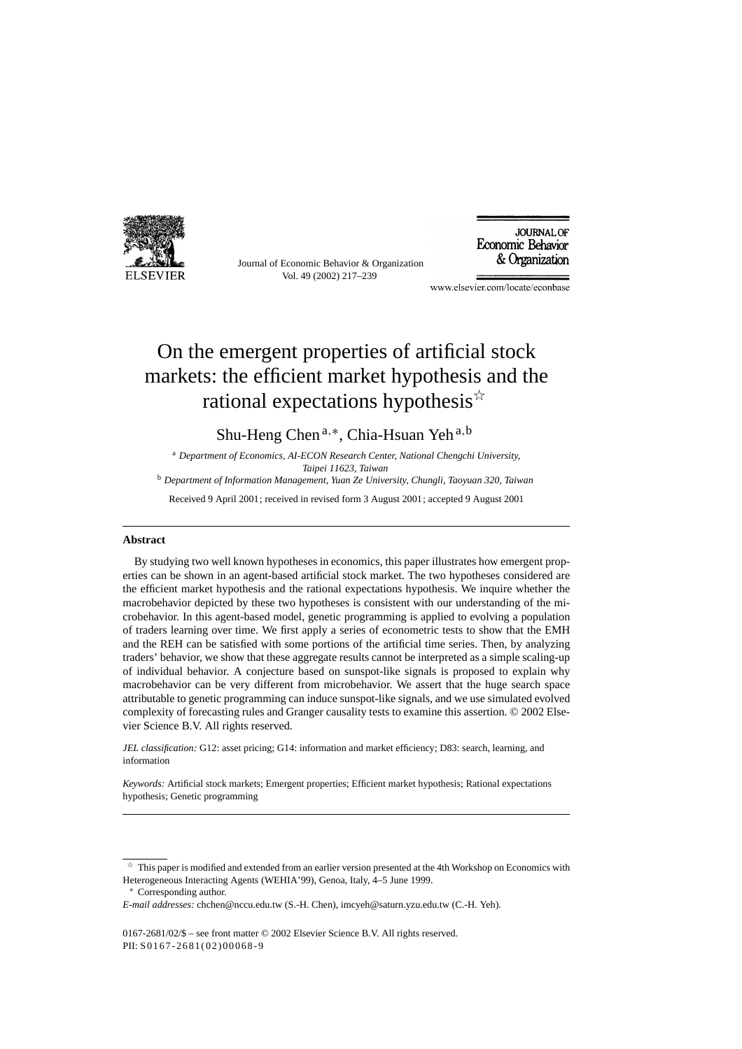

Journal of Economic Behavior & Organization Vol. 49 (2002) 217–239

**JOURNAL OF** Economic Behavior & Organization

www.elsevier.com/locate/econbase

# On the emergent properties of artificial stock markets: the efficient market hypothesis and the rational expectations hypothesis $\mathbb{R}$

### Shu-Heng Chen<sup> $a,*$ </sup>, Chia-Hsuan Yeh<sup> $a,b$ </sup>

<sup>a</sup> *Department of Economics, AI-ECON Research Center, National Chengchi University, Taipei 11623, Taiwan* <sup>b</sup> *Department of Information Management, Yuan Ze University, Chungli, Taoyuan 320, Taiwan*

Received 9 April 2001; received in revised form 3 August 2001; accepted 9 August 2001

#### **Abstract**

By studying two well known hypotheses in economics, this paper illustrates how emergent properties can be shown in an agent-based artificial stock market. The two hypotheses considered are the efficient market hypothesis and the rational expectations hypothesis. We inquire whether the macrobehavior depicted by these two hypotheses is consistent with our understanding of the microbehavior. In this agent-based model, genetic programming is applied to evolving a population of traders learning over time. We first apply a series of econometric tests to show that the EMH and the REH can be satisfied with some portions of the artificial time series. Then, by analyzing traders' behavior, we show that these aggregate results cannot be interpreted as a simple scaling-up of individual behavior. A conjecture based on sunspot-like signals is proposed to explain why macrobehavior can be very different from microbehavior. We assert that the huge search space attributable to genetic programming can induce sunspot-like signals, and we use simulated evolved complexity of forecasting rules and Granger causality tests to examine this assertion. © 2002 Elsevier Science B.V. All rights reserved.

*JEL classification:* G12: asset pricing; G14: information and market efficiency; D83: search, learning, and information

*Keywords:* Artificial stock markets; Emergent properties; Efficient market hypothesis; Rational expectations hypothesis; Genetic programming

 $\pi$  This paper is modified and extended from an earlier version presented at the 4th Workshop on Economics with Heterogeneous Interacting Agents (WEHIA'99), Genoa, Italy, 4–5 June 1999.

<sup>∗</sup> Corresponding author.

*E-mail addresses:* chchen@nccu.edu.tw (S.-H. Chen), imcyeh@saturn.yzu.edu.tw (C.-H. Yeh).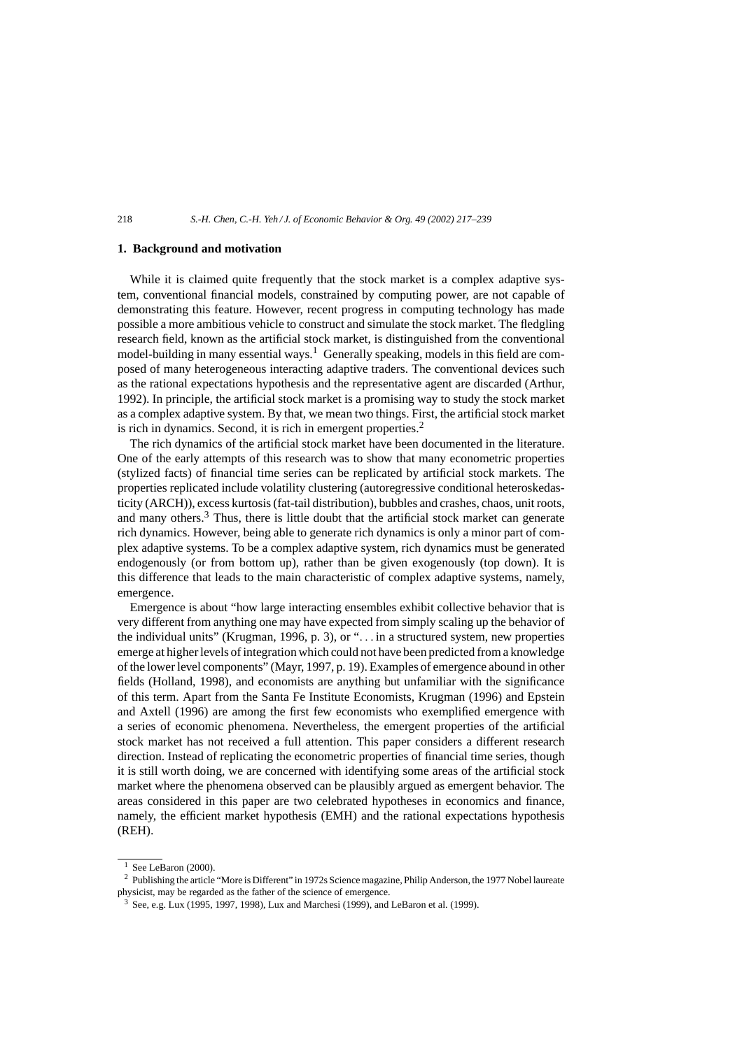#### **1. Background and motivation**

While it is claimed quite frequently that the stock market is a complex adaptive system, conventional financial models, constrained by computing power, are not capable of demonstrating this feature. However, recent progress in computing technology has made possible a more ambitious vehicle to construct and simulate the stock market. The fledgling research field, known as the artificial stock market, is distinguished from the conventional model-building in many essential ways.<sup>1</sup> Generally speaking, models in this field are composed of many heterogeneous interacting adaptive traders. The conventional devices such as the rational expectations hypothesis and the representative agent are discarded (Arthur, 1992). In principle, the artificial stock market is a promising way to study the stock market as a complex adaptive system. By that, we mean two things. First, the artificial stock market is rich in dynamics. Second, it is rich in emergent properties.<sup>2</sup>

The rich dynamics of the artificial stock market have been documented in the literature. One of the early attempts of this research was to show that many econometric properties (stylized facts) of financial time series can be replicated by artificial stock markets. The properties replicated include volatility clustering (autoregressive conditional heteroskedasticity (ARCH)), excess kurtosis (fat-tail distribution), bubbles and crashes, chaos, unit roots, and many others.<sup>3</sup> Thus, there is little doubt that the artificial stock market can generate rich dynamics. However, being able to generate rich dynamics is only a minor part of complex adaptive systems. To be a complex adaptive system, rich dynamics must be generated endogenously (or from bottom up), rather than be given exogenously (top down). It is this difference that leads to the main characteristic of complex adaptive systems, namely, emergence.

Emergence is about "how large interacting ensembles exhibit collective behavior that is very different from anything one may have expected from simply scaling up the behavior of the individual units" (Krugman, 1996, p. 3), or "... in a structured system, new properties emerge at higher levels of integration which could not have been predicted from a knowledge of the lower level components" (Mayr, 1997, p. 19). Examples of emergence abound in other fields (Holland, 1998), and economists are anything but unfamiliar with the significance of this term. Apart from the Santa Fe Institute Economists, Krugman (1996) and Epstein and Axtell (1996) are among the first few economists who exemplified emergence with a series of economic phenomena. Nevertheless, the emergent properties of the artificial stock market has not received a full attention. This paper considers a different research direction. Instead of replicating the econometric properties of financial time series, though it is still worth doing, we are concerned with identifying some areas of the artificial stock market where the phenomena observed can be plausibly argued as emergent behavior. The areas considered in this paper are two celebrated hypotheses in economics and finance, namely, the efficient market hypothesis (EMH) and the rational expectations hypothesis (REH).

 $1$  See LeBaron (2000).

<sup>2</sup> Publishing the article "More is Different" in 1972s Science magazine, Philip Anderson, the 1977 Nobel laureate physicist, may be regarded as the father of the science of emergence.

 $3$  See, e.g. Lux (1995, 1997, 1998), Lux and Marchesi (1999), and LeBaron et al. (1999).